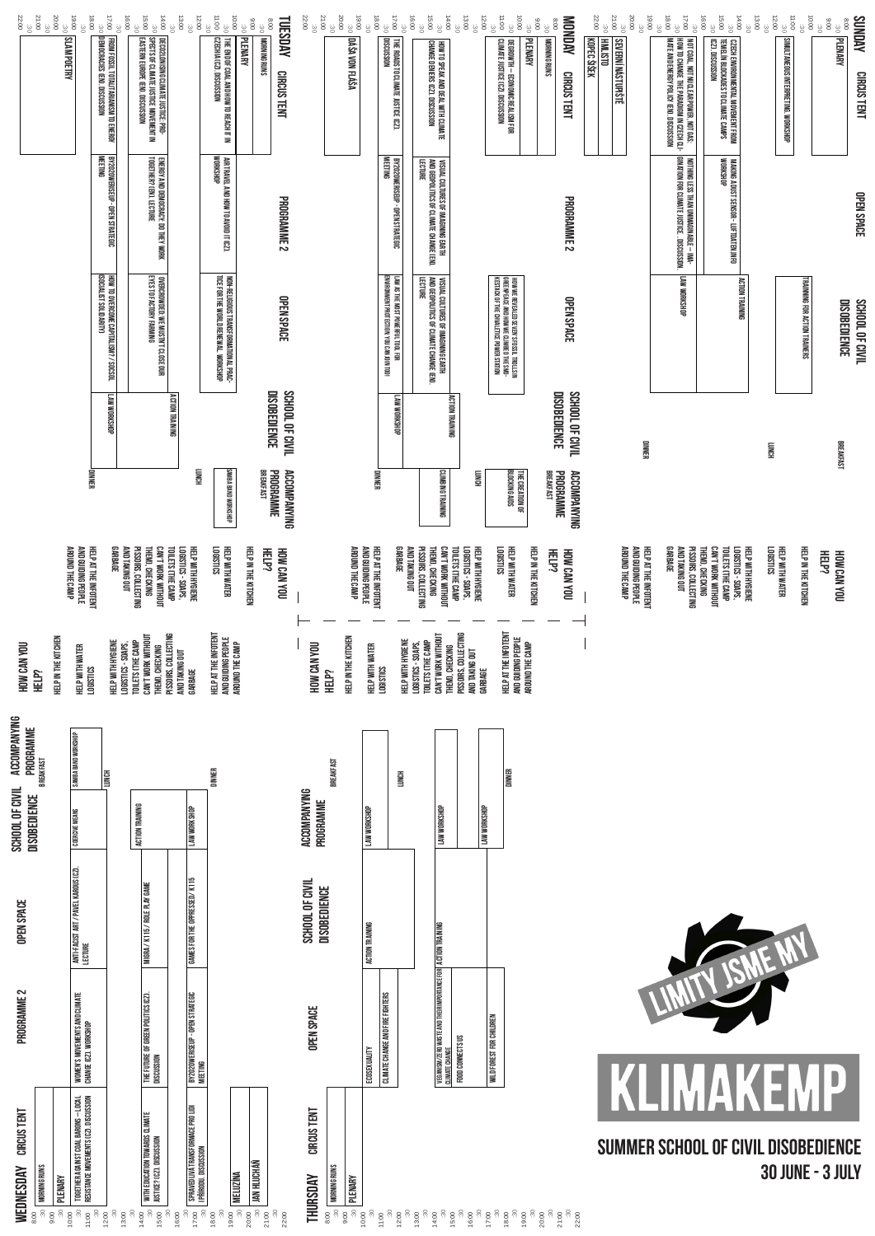|                                                                       | SLAM POETRY         |                                                                                | DEMOCRACIES (EN). DISCUSSION<br>FROM FOSSIL TOTALITARIANISM TO ENERGY<br>BY2020WERISEUP - OPEN STRATEGIC<br>Meeting<br>HOW TO OVERCOME CAPITALISM? / SOCSOL<br>(Social IST Solidarity) | DECO2LONISING GLIMATE JUSTICE. PRO-<br>Spects of Climate Justice Movement in<br>Eastern Europe (en). Discussion<br>ENERGY AND DEMOCRACY: DO THEY WORK<br>Together? (En). Lecture<br>OVERCROWDED: WE MUSTN'T CLOSE OUR<br>Eyes to factory farming |                                                                                     | THE END OF COAL AND HOW TO REACH IT IN<br>Czechia (CZ). Discussion<br>AIR TRAVEL AND HOW TO AVOID IT (CZ).<br>Workshop<br>NON-RELIGIOUS TRANSFORMATIONAL PRAC-<br>Tice for the world renewal. Workshop |                     | MORNING RUNS<br>CIRCUS TENT<br>PROGRAMME <sub>2</sub><br>OPEN SPACE                        |                                        | DÁŠA VON FLÁŠA                               | THE ROADS TO CLIMATE JUSTICE (CZ).<br>Discussion<br>BY2020WERISEUP - OPEN STRATEGIC<br>Meeting<br>ENVIRONMENT PROTECTION: YOU CAN JOIN TOO!<br>LAW AS THE MOST POWERFUL TOOL FOR | HOW TO SPEAK AND DEAL WITH CLIMATE<br>Change Deniers (CZ). Discussion<br><b>LECTURE</b><br>VISUAL CULTURES OF IMAGINING EARTH<br>And Geopolitics of Climate Change (En)<br>VISUAL CULTURES OF IMAGINING EARTH<br>And Gedpolitics of Climate Change (er)<br>Lecture |                                                                              | DEGROWTH – ECONOMIC REALISM FOR<br>Climate Justice (CZ). Discussion<br>HOW WE REVEALED SEVEN'S FOSSIL TROLLS IN<br>Greenpeace and how we climbed the SNO-<br>Kestack of the chvaletice power station |                     | <b>MORNING RUNS</b><br><b>CIRCUS TENT</b><br>PROGRAMME <sub>2</sub><br><b>OPEN SPACE</b> | KOPEC ŠIŠEK | <b>SEVERNÍ NÁSTUPIŠTĚ</b>                                     | NOT COAL, NOT NUCLEAR POWER, NOT GAS:<br>How to change the paradigm in Czech CL-<br>Mate and energy policy (en). Discussion<br>NOTHING LESS THAN UNIMAGINABLE – IMA-<br>Gination for Climate Justice. . Discussion.<br>LAW WORKSHOP | LCZJ. DISCUSSION<br>CZECH ENVIRONMENTAL MOVEMENT FROM<br>Temelín blockades to climate camps<br>MAKING A DUST SENSOR - LUFTDATEN.INFO<br>Workshop<br><b>ACTION TRAINING</b> |                                     | SIMULTANEOUS INTERPRETING. WORKSHOP |
|-----------------------------------------------------------------------|---------------------|--------------------------------------------------------------------------------|----------------------------------------------------------------------------------------------------------------------------------------------------------------------------------------|--------------------------------------------------------------------------------------------------------------------------------------------------------------------------------------------------------------------------------------------------|-------------------------------------------------------------------------------------|--------------------------------------------------------------------------------------------------------------------------------------------------------------------------------------------------------|---------------------|--------------------------------------------------------------------------------------------|----------------------------------------|----------------------------------------------|----------------------------------------------------------------------------------------------------------------------------------------------------------------------------------|--------------------------------------------------------------------------------------------------------------------------------------------------------------------------------------------------------------------------------------------------------------------|------------------------------------------------------------------------------|------------------------------------------------------------------------------------------------------------------------------------------------------------------------------------------------------|---------------------|------------------------------------------------------------------------------------------|-------------|---------------------------------------------------------------|-------------------------------------------------------------------------------------------------------------------------------------------------------------------------------------------------------------------------------------|----------------------------------------------------------------------------------------------------------------------------------------------------------------------------|-------------------------------------|-------------------------------------|
|                                                                       |                     |                                                                                | <b>LAW WORKSHOP</b>                                                                                                                                                                    |                                                                                                                                                                                                                                                  | <b>ACTION TRAINING</b>                                                              |                                                                                                                                                                                                        |                     | <b>DISOBEDIENCE</b><br>SCHOOL OF CIVIL                                                     |                                        |                                              | <b>LAW WORKSHOP</b>                                                                                                                                                              |                                                                                                                                                                                                                                                                    | <b>ACTION TRAINING</b>                                                       |                                                                                                                                                                                                      |                     | <b>DISOBEDIENCE</b><br>SCHOOL OF CIVIL                                                   |             | <b>UINNER</b>                                                 |                                                                                                                                                                                                                                     |                                                                                                                                                                            | <b>HONICH</b>                       |                                     |
|                                                                       |                     | DINNER<br>HELP AT THE INFOTENT<br>And Guiding People<br>Around the Camp        | <b>GARBAGE</b>                                                                                                                                                                         | <b>AND TAKING OUT</b><br>PISSOIRS, COLLECTING<br>THEM, CHECKING<br>LOOHLIM YOON L.NYO                                                                                                                                                            | <b>HONNT</b><br>TOILETS CTHE CAMP<br><b>LOGISTICS - SOAPS,</b><br>HELP WITH HYGIENE | <b>NINS</b><br>BA BAND WORKSHOP<br><b>LOGISTICS</b><br>HELP WITH WATER                                                                                                                                 | HELP IN THE KITCHEN | BREAKFAST<br><b>PROGRAMME</b><br><b>ACCOMPANYING</b><br><b>HELP?</b><br><b>NOW CAN YOU</b> |                                        | <b>AROUND THE CAMP</b><br>AND GUIDING PEOPLE | DINNER<br><b>GARBAGE</b><br>HELP AT THE INFOTENT                                                                                                                                 | <b>CLIMBING TRAINING</b><br><b>AND TAKING OUT</b><br>PISSOIRS, COLLECTING<br>THEMD, CHECKING<br>CAN'T WORK WITHOUT                                                                                                                                                 | <b>HONOT</b><br>LOGISTICS - SOAPS,<br>HELP WITH HYGIENE<br>TOILETS CTHE CAMP | THE CREATION OF<br>Blocking AIDS<br><b>CONTRICS</b><br>HELP WITH WATER                                                                                                                               | HELP IN THE KITCHEN | 岊<br>PROGRAMME<br><b>ACCOMPANYING</b><br>EAKFAST<br><b>HELP?</b><br><b>NOW CAN YOU</b>   |             | HELP AT THE INFOTENT<br>And Guiding People<br>Around the Camp | <b>GARBAGE</b><br><b>AND TAKING OUT</b><br>PISSOIRS, COLLECTING                                                                                                                                                                     | HELP WITH HYGIENE<br>THEMD, CHECKING<br>CAN'T WORK WITHOUT<br>TOILETS CTHE CAMP<br><b>LOGISTICS - SOAPS,</b>                                                               | <b>LOGISTICS</b><br>HELP WITH WATER |                                     |
| HOW CAN YOU<br><b>HELP?</b><br>ACCOMPANYING<br>PROGRAMME<br>BREAKFAST | HELP IN THE KITCHEN | HELP WITH WATER<br><b>LOGISTICS</b><br>SAMBA BAND WORKSHOP                     | HELP WITH HYGIENE                                                                                                                                                                      | CAN'T WORK WITHOUT<br>TOILETS CTHE CAMP<br>LOGISTICS - SOAPS<br>THEM), CHECKING                                                                                                                                                                  | PISSOIRS, COLLECTING<br>AND TAKING OUT<br>GARBAGE                                   | HELP AT THE INFOTENT<br>And Guiding People                                                                                                                                                             | AROUND THE CAMP     |                                                                                            | HOW CAN YOU<br>HELP?<br>BREAKFAST      | HELP IN THE KITCHEN<br>HELP WITH WATER       | LOGISTICS                                                                                                                                                                        | CAN'T WORK WITHOUT<br>HELP WITH HYGIENE<br>TOILETS CTHE CAMP<br>LOGISTICS - SOAPS,                                                                                                                                                                                 | PISSOIRS, COLLECTING<br>THEM), CHECKING<br>AND TAKING OUT<br>GARBAGE         | HELP AT THE INFOTENT<br>AND GUIDING PEOPLE                                                                                                                                                           | AROUND THE CAMP     |                                                                                          |             |                                                               |                                                                                                                                                                                                                                     |                                                                                                                                                                            |                                     |                                     |
| SCHOOL OF CIVIL<br>DISOBEDIENCE                                       |                     | <b>COERCIVE MEANS</b>                                                          | <b>LUNCH</b>                                                                                                                                                                           | <b>ACTION TRAINING</b>                                                                                                                                                                                                                           | LAW WORKSHOP                                                                        | DINNER                                                                                                                                                                                                 |                     |                                                                                            | ACCOMPANYING<br>PROGRAMME              | LAW WORKSHOP                                 | <b>LUNCH</b>                                                                                                                                                                     | LAW WORKSHOP                                                                                                                                                                                                                                                       |                                                                              | <b>DINNER</b><br>LAW WORKSHOP                                                                                                                                                                        |                     |                                                                                          |             |                                                               |                                                                                                                                                                                                                                     |                                                                                                                                                                            |                                     |                                     |
| <b>OPEN SPACE</b>                                                     |                     | ANTI-FACIST ART / PAVEL KAROUS (CZ).<br>Lecture                                |                                                                                                                                                                                        | K115 / ROLE PLAY GAME<br>MIGRA                                                                                                                                                                                                                   | FOR THE OPPRESSED/K115<br>GAMES                                                     |                                                                                                                                                                                                        |                     |                                                                                            | SCHOOL OF CIVIL<br><b>DISOBEDIENCE</b> | <b>TRAINING</b><br><b>ACTION</b>             |                                                                                                                                                                                  | TRAINING                                                                                                                                                                                                                                                           |                                                                              |                                                                                                                                                                                                      |                     |                                                                                          |             |                                                               |                                                                                                                                                                                                                                     | TY JSME MY                                                                                                                                                                 |                                     |                                     |
| PROGRAMME 2                                                           |                     | WOMEN'S MOVEMENTS AND CLIMATE<br>Change (C.Z. Workshop                         |                                                                                                                                                                                        | THE FUTURE OF GREEN POLITICS (CZ)<br>DISCUSSION                                                                                                                                                                                                  | BY2020WERISEUP - OPEN STRATEGIC<br>Meeting                                          |                                                                                                                                                                                                        |                     |                                                                                            | <b>OPEN SPACE</b>                      | ECOSEXUALITY                                 | CLIMATE CHANGE AND FIRE FIGHTERS                                                                                                                                                 | VEGANISM/ZERO WASTE AND THEIR IMPORTANCE FOR   ACTION<br>Climate Change                                                                                                                                                                                            | FOOD CONNECTS US                                                             | WILD FOREST FOR CHILDREN                                                                                                                                                                             |                     |                                                                                          |             |                                                               |                                                                                                                                                                                                                                     |                                                                                                                                                                            |                                     |                                     |
|                                                                       |                     | TOGETHER AGAINST COAL BARONS -- LOCAL<br>Resistance Movements (C2). Discussion |                                                                                                                                                                                        |                                                                                                                                                                                                                                                  |                                                                                     | SPRAVEDLIVÁ TRANSFORMACE PRO LIDI<br>I přírodu. Discussion                                                                                                                                             |                     |                                                                                            | CIRCUS TENT                            |                                              |                                                                                                                                                                                  |                                                                                                                                                                                                                                                                    |                                                                              |                                                                                                                                                                                                      |                     |                                                                                          |             |                                                               |                                                                                                                                                                                                                                     |                                                                                                                                                                            |                                     |                                     |

# **IDNECDAV** Š

## ā

| THURSDAY                                      | CIRCUS TENT | <b>OPEN SPACE</b>                                          | ಜ<br>ă      |
|-----------------------------------------------|-------------|------------------------------------------------------------|-------------|
| <b>MORNING RUNS</b><br>$\frac{30}{2}$<br>8:00 |             |                                                            |             |
| PLENARY<br>$\ddot{\ddot{\omega}}$<br>00.6     |             |                                                            |             |
| $\frac{30}{2}$<br>0:00                        |             | ECOSEXUALITY                                               | ACTION TRAI |
| $\ddot{\rm s}$<br>1:00                        |             | CLIMATE CHANGE AND FIRE FIGHTERS                           |             |
| $\ddot{30}$<br>2:00                           |             |                                                            |             |
| 3:00                                          |             |                                                            |             |
| $\ddot{\mathbf{e}}$                           |             |                                                            |             |
| 4:00                                          |             | VEGANISM/ZERO WASTE AND THEIR IMPORTANCE FOR   ACTION TRAI |             |
| $\ddot{\ddot{\delta}}$                        |             | <b>CLIMATE CHANGE</b>                                      |             |
| 5:00                                          |             |                                                            |             |
| $\ddot{30}$                                   |             | FOOD CONNECTS US                                           |             |
| 6:00                                          |             |                                                            |             |
| $\ddot{30}$                                   |             |                                                            |             |
| 7:00                                          |             | WILD FOREST FOR CHILDREN                                   |             |
| $\ddot{\ddot{\delta}}$                        |             |                                                            |             |
| 8.00                                          |             |                                                            |             |
| $\ddot{\ddot{\delta}}$                        |             |                                                            |             |
| 00.6                                          |             |                                                            |             |
| $\ddot{30}$                                   |             |                                                            |             |
| 0:00                                          |             |                                                            |             |
| $\ddot{\rm s}$                                |             |                                                            |             |
| 1.00                                          |             |                                                            |             |